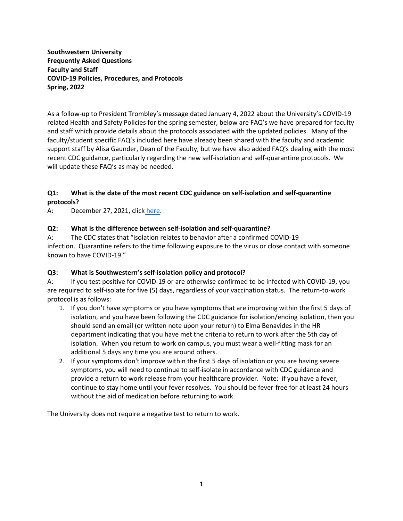**Southwestern University Frequently Asked Questions Faculty and Staff COVID-19 Policies, Procedures, and Protocols Spring, 2022**

As a follow-up to President Trombley's message dated January 4, 2022 about the University's COVID-19 related Health and Safety Policies for the spring semester, below are FAQ's we have prepared for faculty and staff which provide details about the protocols associated with the updated policies. Many of the faculty/student specific FAQ's included here have already been shared with the faculty and academic support staff by Alisa Gaunder, Dean of the Faculty, but we have also added FAQ's dealing with the most recent CDC guidance, particularly regarding the new self-isolation and self-quarantine protocols. We will update these FAQ's as may be needed.

# **Q1: What is the date of the most recent CDC guidance on self-isolation and self-quarantine protocols?**

A: December 27, 2021, click [here.](https://www.cdc.gov/media/releases/2021/s1227-isolation-quarantine-guidance.html)

# **Q2: What is the difference between self-isolation and self-quarantine?**

A: The CDC states that "isolation relates to behavior after a confirmed COVID-19 infection. Quarantine refers to the time following exposure to the virus or close contact with someone known to have COVID-19."

# **Q3: What is Southwestern's self-isolation policy and protocol?**

A: If you test positive for COVID-19 or are otherwise confirmed to be infected with COVID-19, you are required to self-isolate for five (5) days, regardless of your vaccination status. The return-to-work protocol is as follows:

- 1. If you don't have symptoms or you have symptoms that are improving within the first 5 days of isolation, and you have been following the CDC guidance for isolation/ending isolation, then you should send an email (or written note upon your return) to Elma Benavides in the HR department indicating that you have met the criteria to return to work after the 5th day of isolation. When you return to work on campus, you must wear a well-fitting mask for an additional 5 days any time you are around others.
- 2. If your symptoms don't improve within the first 5 days of isolation or you are having severe symptoms, you will need to continue to self-isolate in accordance with CDC guidance and provide a return to work release from your healthcare provider. Note: if you have a fever, continue to stay home until your fever resolves. You should be fever-free for at least 24 hours without the aid of medication before returning to work.

The University does not require a negative test to return to work.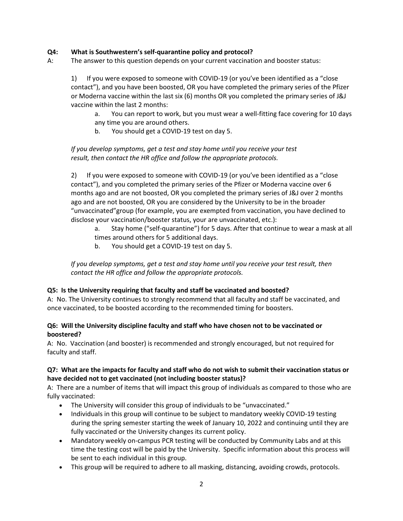# **Q4: What is Southwestern's self-quarantine policy and protocol?**

A: The answer to this question depends on your current vaccination and booster status:

1) If you were exposed to someone with COVID-19 (or you've been identified as a "close contact"), and you have been boosted, OR you have completed the primary series of the Pfizer or Moderna vaccine within the last six (6) months OR you completed the primary series of J&J vaccine within the last 2 months:

a. You can report to work, but you must wear a well-fitting face covering for 10 days any time you are around others.

b. You should get a COVID-19 test on day 5.

*If you develop symptoms, get a test and stay home until you receive your test result, then contact the HR office and follow the appropriate protocols.*

2) If you were exposed to someone with COVID-19 (or you've been identified as a "close contact"), and you completed the primary series of the Pfizer or Moderna vaccine over 6 months ago and are not boosted, OR you completed the primary series of J&J over 2 months ago and are not boosted, OR you are considered by the University to be in the broader "unvaccinated"group (for example, you are exempted from vaccination, you have declined to disclose your vaccination/booster status, your are unvaccinated, etc.):

- a. Stay home ("self-quarantine") for 5 days. After that continue to wear a mask at all times around others for 5 additional days.
- b. You should get a COVID-19 test on day 5.

*If you develop symptoms, get a test and stay home until you receive your test result, then contact the HR office and follow the appropriate protocols.*

### **Q5: Is the University requiring that faculty and staff be vaccinated and boosted?**

A: No. The University continues to strongly recommend that all faculty and staff be vaccinated, and once vaccinated, to be boosted according to the recommended timing for boosters.

# **Q6: Will the University discipline faculty and staff who have chosen not to be vaccinated or boostered?**

A: No. Vaccination (and booster) is recommended and strongly encouraged, but not required for faculty and staff.

# **Q7: What are the impacts for faculty and staff who do not wish to submit their vaccination status or have decided not to get vaccinated (not including booster status)?**

A: There are a number of items that will impact this group of individuals as compared to those who are fully vaccinated:

- The University will consider this group of individuals to be "unvaccinated."
- Individuals in this group will continue to be subject to mandatory weekly COVID-19 testing during the spring semester starting the week of January 10, 2022 and continuing until they are fully vaccinated or the University changes its current policy.
- Mandatory weekly on-campus PCR testing will be conducted by Community Labs and at this time the testing cost will be paid by the University. Specific information about this process will be sent to each individual in this group.
- This group will be required to adhere to all masking, distancing, avoiding crowds, protocols.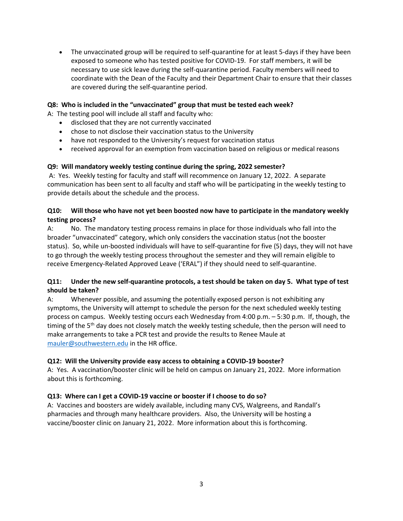• The unvaccinated group will be required to self-quarantine for at least 5-days if they have been exposed to someone who has tested positive for COVID-19. For staff members, it will be necessary to use sick leave during the self-quarantine period. Faculty members will need to coordinate with the Dean of the Faculty and their Department Chair to ensure that their classes are covered during the self-quarantine period.

### **Q8: Who is included in the "unvaccinated" group that must be tested each week?**

A: The testing pool will include all staff and faculty who:

- disclosed that they are not currently vaccinated
- chose to not disclose their vaccination status to the University
- have not responded to the University's request for vaccination status
- received approval for an exemption from vaccination based on religious or medical reasons

# **Q9: Will mandatory weekly testing continue during the spring, 2022 semester?**

A: Yes. Weekly testing for faculty and staff will recommence on January 12, 2022. A separate communication has been sent to all faculty and staff who will be participating in the weekly testing to provide details about the schedule and the process.

# **Q10: Will those who have not yet been boosted now have to participate in the mandatory weekly testing process?**

A: No. The mandatory testing process remains in place for those individuals who fall into the broader "unvaccinated" category, which only considers the vaccination status (not the booster status). So, while un-boosted individuals will have to self-quarantine for five (5) days, they will not have to go through the weekly testing process throughout the semester and they will remain eligible to receive Emergency-Related Approved Leave ('ERAL") if they should need to self-quarantine.

# **Q11: Under the new self-quarantine protocols, a test should be taken on day 5. What type of test should be taken?**

A: Whenever possible, and assuming the potentially exposed person is not exhibiting any symptoms, the University will attempt to schedule the person for the next scheduled weekly testing process on campus. Weekly testing occurs each Wednesday from 4:00 p.m. – 5:30 p.m. If, though, the timing of the 5<sup>th</sup> day does not closely match the weekly testing schedule, then the person will need to make arrangements to take a PCR test and provide the results to Renee Maule at [mauler@southwestern.edu](mailto:mauler@southwestern.edu) in the HR office.

### **Q12: Will the University provide easy access to obtaining a COVID-19 booster?**

A: Yes. A vaccination/booster clinic will be held on campus on January 21, 2022. More information about this is forthcoming.

### **Q13: Where can I get a COVID-19 vaccine or booster if I choose to do so?**

A: Vaccines and boosters are widely available, including many CVS, Walgreens, and Randall's pharmacies and through many healthcare providers. Also, the University will be hosting a vaccine/booster clinic on January 21, 2022. More information about this is forthcoming.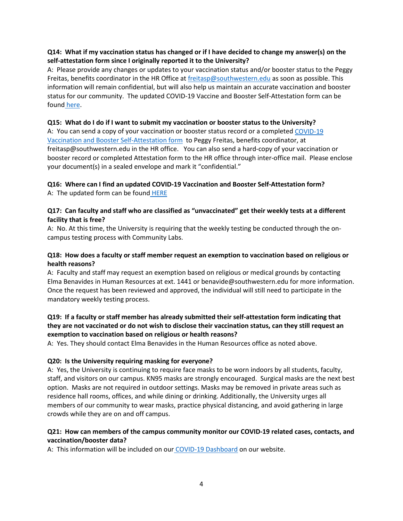# **Q14: What if my vaccination status has changed or if I have decided to change my answer(s) on the self-attestation form since I originally reported it to the University?**

A: Please provide any changes or updates to your vaccination status and/or booster status to the Peggy Freitas, benefits coordinator in the HR Office a[t freitasp@southwestern.edu](mailto:freitasp@southwestern.edu) as soon as possible. This information will remain confidential, but will also help us maintain an accurate vaccination and booster status for our community. The updated COVID-19 Vaccine and Booster Self-Attestation form can be found [here.](https://www.southwestern.edu/live/files/9619-facultystaffcovid-19-vaccine-self-attestation)

### **Q15: What do I do if I want to submit my vaccination or booster status to the University?**

A: You can send a copy of your vaccination or booster status record or a completed [COVID-19](https://www.southwestern.edu/live/files/9619-facultystaffcovid-19-vaccine-self-attestation)  [Vaccination and Booster Self-Attestation form](https://www.southwestern.edu/live/files/9619-facultystaffcovid-19-vaccine-self-attestation) to Peggy Freitas, benefits coordinator, at freitasp@southwestern.edu in the HR office. You can also send a hard-copy of your vaccination or booster record or completed Attestation form to the HR office through inter-office mail. Please enclose your document(s) in a sealed envelope and mark it "confidential."

# **Q16: Where can I find an updated COVID-19 Vaccination and Booster Self-Attestation form?**

A: The updated form can be found [HERE](https://www.southwestern.edu/live/files/9619-facultystaffcovid-19-vaccine-self-attestation)

# **Q17: Can faculty and staff who are classified as "unvaccinated" get their weekly tests at a different facility that is free?**

A: No. At this time, the University is requiring that the weekly testing be conducted through the oncampus testing process with Community Labs.

# **Q18: How does a faculty or staff member request an exemption to vaccination based on religious or health reasons?**

A: Faculty and staff may request an exemption based on religious or medical grounds by contacting Elma Benavides in Human Resources at ext. 1441 or benavide@southwestern.edu for more information. Once the request has been reviewed and approved, the individual will still need to participate in the mandatory weekly testing process.

# **Q19: If a faculty or staff member has already submitted their self-attestation form indicating that they are not vaccinated or do not wish to disclose their vaccination status, can they still request an exemption to vaccination based on religious or health reasons?**

A: Yes. They should contact Elma Benavides in the Human Resources office as noted above.

# **Q20: Is the University requiring masking for everyone?**

A: Yes, the University is continuing to require face masks to be worn indoors by all students, faculty, staff, and visitors on our campus. KN95 masks are strongly encouraged. Surgical masks are the next best option. Masks are not required in outdoor settings. Masks may be removed in private areas such as residence hall rooms, offices, and while dining or drinking. Additionally, the University urges all members of our community to wear masks, practice physical distancing, and avoid gathering in large crowds while they are on and off campus.

# **Q21: How can members of the campus community monitor our COVID-19 related cases, contacts, and vaccination/booster data?**

A: This information will be included on our [COVID-19 Dashboard](https://www.southwestern.edu/reopening/dashboard/) on our website.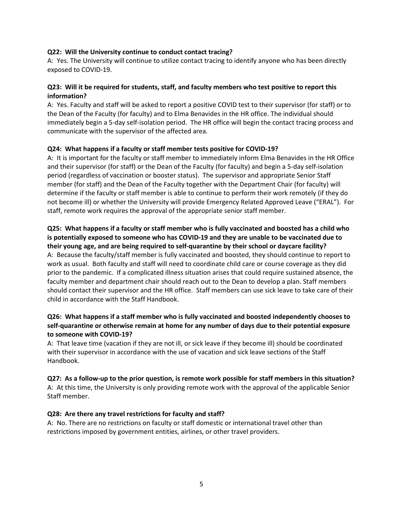### **Q22: Will the University continue to conduct contact tracing?**

A: Yes. The University will continue to utilize contact tracing to identify anyone who has been directly exposed to COVID-19.

# **Q23: Will it be required for students, staff, and faculty members who test positive to report this information?**

A: Yes. Faculty and staff will be asked to report a positive COVID test to their supervisor (for staff) or to the Dean of the Faculty (for faculty) and to Elma Benavides in the HR office. The individual should immediately begin a 5-day self-isolation period. The HR office will begin the contact tracing process and communicate with the supervisor of the affected area.

### **Q24: What happens if a faculty or staff member tests positive for COVID-19?**

A: It is important for the faculty or staff member to immediately inform Elma Benavides in the HR Office and their supervisor (for staff) or the Dean of the Faculty (for faculty) and begin a 5-day self-isolation period (regardless of vaccination or booster status). The supervisor and appropriate Senior Staff member (for staff) and the Dean of the Faculty together with the Department Chair (for faculty) will determine if the faculty or staff member is able to continue to perform their work remotely (if they do not become ill) or whether the University will provide Emergency Related Approved Leave ("ERAL"). For staff, remote work requires the approval of the appropriate senior staff member.

# **Q25: What happens if a faculty or staff member who is fully vaccinated and boosted has a child who is potentially exposed to someone who has COVID-19 and they are unable to be vaccinated due to their young age, and are being required to self-quarantine by their school or daycare facility?**

A: Because the faculty/staff member is fully vaccinated and boosted, they should continue to report to work as usual. Both faculty and staff will need to coordinate child care or course coverage as they did prior to the pandemic. If a complicated illness situation arises that could require sustained absence, the faculty member and department chair should reach out to the Dean to develop a plan. Staff members should contact their supervisor and the HR office. Staff members can use sick leave to take care of their child in accordance with the Staff Handbook.

### **Q26: What happens if a staff member who is fully vaccinated and boosted independently chooses to self-quarantine or otherwise remain at home for any number of days due to their potential exposure to someone with COVID-19?**

A: That leave time (vacation if they are not ill, or sick leave if they become ill) should be coordinated with their supervisor in accordance with the use of vacation and sick leave sections of the Staff Handbook.

#### **Q27: As a follow-up to the prior question, is remote work possible for staff members in this situation?**

A: At this time, the University is only providing remote work with the approval of the applicable Senior Staff member.

#### **Q28: Are there any travel restrictions for faculty and staff?**

A: No. There are no restrictions on faculty or staff domestic or international travel other than restrictions imposed by government entities, airlines, or other travel providers.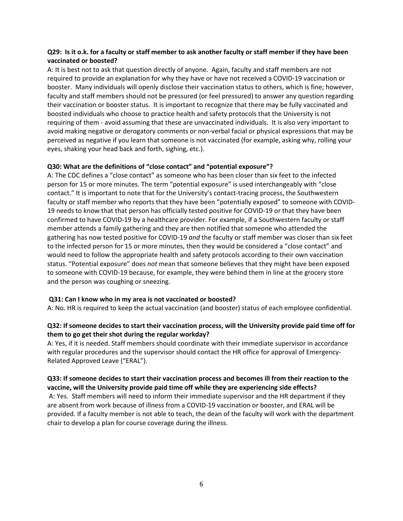### **Q29: Is it o.k. for a faculty or staff member to ask another faculty or staff member if they have been vaccinated or boosted?**

A: It is best not to ask that question directly of anyone. Again, faculty and staff members are not required to provide an explanation for why they have or have not received a COVID-19 vaccination or booster. Many individuals will openly disclose their vaccination status to others, which is fine; however, faculty and staff members should not be pressured (or feel pressured) to answer any question regarding their vaccination or booster status. It is important to recognize that there may be fully vaccinated and boosted individuals who choose to practice health and safety protocols that the University is not requiring of them - avoid assuming that these are unvaccinated individuals. It is also very important to avoid making negative or derogatory comments or non-verbal facial or physical expressions that may be perceived as negative if you learn that someone is not vaccinated (for example, asking why, rolling your eyes, shaking your head back and forth, sighing, etc.).

#### **Q30: What are the definitions of "close contact" and "potential exposure"?**

A: The CDC defines a "close contact" as someone who has been closer than six feet to the infected person for 15 or more minutes. The term "potential exposure" is used interchangeably with "close contact." It is important to note that for the University's contact-tracing process, the Southwestern faculty or staff member who reports that they have been "potentially exposed" to someone with COVID-19 needs to know that that person has officially tested positive for COVID-19 or that they have been confirmed to have COVID-19 by a healthcare provider. For example, if a Southwestern faculty or staff member attends a family gathering and they are then notified that someone who attended the gathering has now tested positive for COVID-19 *and* the faculty or staff member was closer than six feet to the infected person for 15 or more minutes, then they would be considered a "close contact" and would need to follow the appropriate health and safety protocols according to their own vaccination status. "Potential exposure" does *not* mean that someone believes that they might have been exposed to someone with COVID-19 because, for example, they were behind them in line at the grocery store and the person was coughing or sneezing.

#### **Q31: Can I know who in my area is not vaccinated or boosted?**

A: No. HR is required to keep the actual vaccination (and booster) status of each employee confidential.

# **Q32: If someone decides to start their vaccination process, will the University provide paid time off for them to go get their shot during the regular workday?**

A: Yes, if it is needed. Staff members should coordinate with their immediate supervisor in accordance with regular procedures and the supervisor should contact the HR office for approval of Emergency-Related Approved Leave ("ERAL").

### **Q33: If someone decides to start their vaccination process and becomes ill from their reaction to the vaccine, will the University provide paid time off while they are experiencing side effects?**

A: Yes. Staff members will need to inform their immediate supervisor and the HR department if they are absent from work because of illness from a COVID-19 vaccination or booster, and ERAL will be provided. If a faculty member is not able to teach, the dean of the faculty will work with the department chair to develop a plan for course coverage during the illness.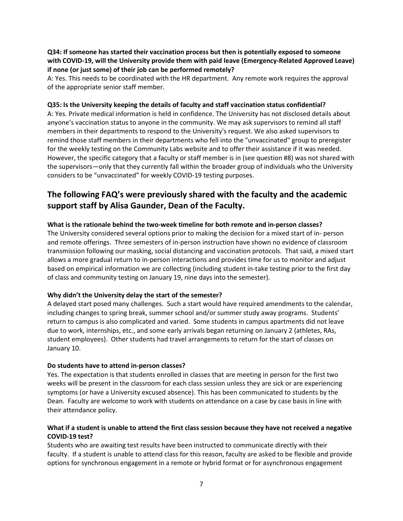**Q34: If someone has started their vaccination process but then is potentially exposed to someone with COVID-19, will the University provide them with paid leave (Emergency-Related Approved Leave) if none (or just some) of their job can be performed remotely?**

A: Yes. This needs to be coordinated with the HR department. Any remote work requires the approval of the appropriate senior staff member.

#### **Q35: Is the University keeping the details of faculty and staff vaccination status confidential?**

A: Yes. Private medical information is held in confidence. The University has not disclosed details about anyone's vaccination status to anyone in the community. We may ask supervisors to remind all staff members in their departments to respond to the University's request. We also asked supervisors to remind those staff members in their departments who fell into the "unvaccinated" group to preregister for the weekly testing on the Community Labs website and to offer their assistance if it was needed. However, the specific category that a faculty or staff member is in (see question #8) was not shared with the supervisors—only that they currently fall within the broader group of individuals who the University considers to be "unvaccinated" for weekly COVID-19 testing purposes.

# **The following FAQ's were previously shared with the faculty and the academic support staff by Alisa Gaunder, Dean of the Faculty.**

### **What is the rationale behind the two-week timeline for both remote and in-person classes?**

The University considered several options prior to making the decision for a mixed start of in- person and remote offerings. Three semesters of in-person instruction have shown no evidence of classroom transmission following our masking, social distancing and vaccination protocols. That said, a mixed start allows a more gradual return to in-person interactions and provides time for us to monitor and adjust based on empirical information we are collecting (including student in-take testing prior to the first day of class and community testing on January 19, nine days into the semester).

### **Why didn't the University delay the start of the semester?**

A delayed start posed many challenges. Such a start would have required amendments to the calendar, including changes to spring break, summer school and/or summer study away programs. Students' return to campus is also complicated and varied. Some students in campus apartments did not leave due to work, internships, etc., and some early arrivals began returning on January 2 (athletes, RAs, student employees). Other students had travel arrangements to return for the start of classes on January 10.

#### **Do students have to attend in-person classes?**

Yes. The expectation is that students enrolled in classes that are meeting in person for the first two weeks will be present in the classroom for each class session unless they are sick or are experiencing symptoms (or have a University excused absence). This has been communicated to students by the Dean. Faculty are welcome to work with students on attendance on a case by case basis in line with their attendance policy.

### **What if a student is unable to attend the first class session because they have not received a negative COVID-19 test?**

Students who are awaiting test results have been instructed to communicate directly with their faculty. If a student is unable to attend class for this reason, faculty are asked to be flexible and provide options for synchronous engagement in a remote or hybrid format or for asynchronous engagement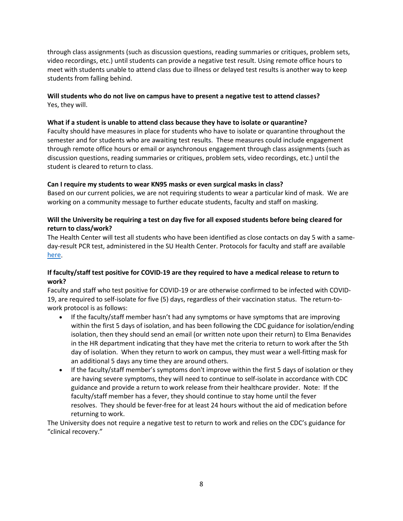through class assignments (such as discussion questions, reading summaries or critiques, problem sets, video recordings, etc.) until students can provide a negative test result. Using remote office hours to meet with students unable to attend class due to illness or delayed test results is another way to keep students from falling behind.

**Will students who do not live on campus have to present a negative test to attend classes?** Yes, they will.

### **What if a student is unable to attend class because they have to isolate or quarantine?**

Faculty should have measures in place for students who have to isolate or quarantine throughout the semester and for students who are awaiting test results. These measures could include engagement through remote office hours or email or asynchronous engagement through class assignments (such as discussion questions, reading summaries or critiques, problem sets, video recordings, etc.) until the student is cleared to return to class.

# **Can I require my students to wear KN95 masks or even surgical masks in class?**

Based on our current policies, we are not requiring students to wear a particular kind of mask. We are working on a community message to further educate students, faculty and staff on masking.

# **Will the University be requiring a test on day five for all exposed students before being cleared for return to class/work?**

The Health Center will test all students who have been identified as close contacts on day 5 with a sameday-result PCR test, administered in the SU Health Center. Protocols for faculty and staff are availabl[e](https://www.southwestern.edu/reopening/#7681) [here.](https://www.southwestern.edu/reopening/#7681)

# **If faculty/staff test positive for COVID-19 are they required to have a medical release to return to work?**

Faculty and staff who test positive for COVID-19 or are otherwise confirmed to be infected with COVID-19, are required to self-isolate for five (5) days, regardless of their vaccination status. The return-towork protocol is as follows:

- If the faculty/staff member hasn't had any symptoms or have symptoms that are improving within the first 5 days of isolation, and has been following the CDC guidance for isolation/ending isolation, then they should send an email (or written note upon their return) to Elma Benavides in the HR department indicating that they have met the criteria to return to work after the 5th day of isolation. When they return to work on campus, they must wear a well-fitting mask for an additional 5 days any time they are around others.
- If the faculty/staff member's symptoms don't improve within the first 5 days of isolation or they are having severe symptoms, they will need to continue to self-isolate in accordance with CDC guidance and provide a return to work release from their healthcare provider. Note: If the faculty/staff member has a fever, they should continue to stay home until the fever resolves. They should be fever-free for at least 24 hours without the aid of medication before returning to work.

The University does not require a negative test to return to work and relies on the CDC's guidance for "clinical recovery."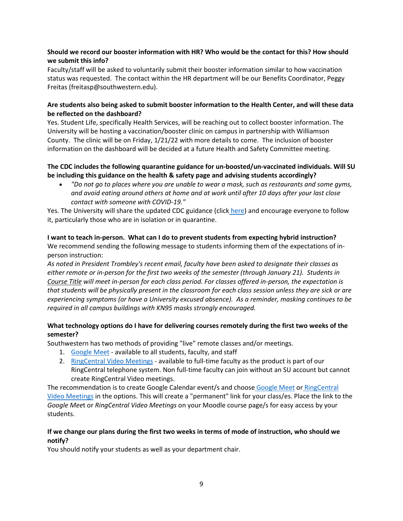# **Should we record our booster information with HR? Who would be the contact for this? How should we submit this info?**

Faculty/staff will be asked to voluntarily submit their booster information similar to how vaccination status was requested. The contact within the HR department will be our Benefits Coordinator, Peggy Freitas (freitasp@southwestern.edu).

# **Are students also being asked to submit booster information to the Health Center, and will these data be reflected on the dashboard?**

Yes. Student Life, specifically Health Services, will be reaching out to collect booster information. The University will be hosting a vaccination/booster clinic on campus in partnership with Williamson County. The clinic will be on Friday, 1/21/22 with more details to come. The inclusion of booster information on the dashboard will be decided at a future Health and Safety Committee meeting.

# **The CDC includes the following quarantine guidance for un-boosted/un-vaccinated individuals. Will SU be including this guidance on the health & safety page and advising students accordingly?**

• *"Do not go to places where you are unable to wear a mask, such as restaurants and some gyms, and avoid eating around others at home and at work until after 10 days after your last close contact with someone with COVID-19."*

Yes. The University will share the updated CDC guidance (click [here\)](https://www.cdc.gov/media/releases/2021/s1227-isolation-quarantine-guidance.html) and encourage everyone to follow it, particularly those who are in isolation or in quarantine.

# **I want to teach in-person. What can I do to prevent students from expecting hybrid instruction?**

We recommend sending the following message to students informing them of the expectations of inperson instruction:

*As noted in President Trombley's recent email, faculty have been asked to designate their classes as either remote or in-person for the first two weeks of the semester (through January 21). Students in Course Title will meet in-person for each class period. For classes offered in-person, the expectation is that students will be physically present in the classroom for each class session unless they are sick or are experiencing symptoms (or have a University excused absence). As a reminder, masking continues to be required in all campus buildings with KN95 masks strongly encouraged.*

# **What technology options do I have for delivering courses remotely during the first two weeks of the semester?**

Southwestern has two methods of providing "live" remote classes and/or meetings.

- 1. [Google Meet](https://support.google.com/a/users/answer/10244181) available to all students, faculty, and staff
- 2. [RingCentral Video Meetings](https://netstorage.ringcentral.com/guides/ringcentral_video_user_guide.pdf) available to full-time faculty as the product is part of our RingCentral telephone system. Non full-time faculty can join without an SU account but cannot create RingCentral Video meetings.

The recommendation is to create Google Calendar event/s and choose [Google Meet](https://support.google.com/a/users/answer/9300131?hl=en) or RingCentral [Video Meetings](https://netstorage.ringcentral.com/guides/ringcentral_video_user_guide.pdf) in the options. This will create a "permanent" link for your class/es. Place the link to the *Google Mee*t or *RingCentral Video Meetings* on your Moodle course page/s for easy access by your students.

# **If we change our plans during the first two weeks in terms of mode of instruction, who should we notify?**

You should notify your students as well as your department chair.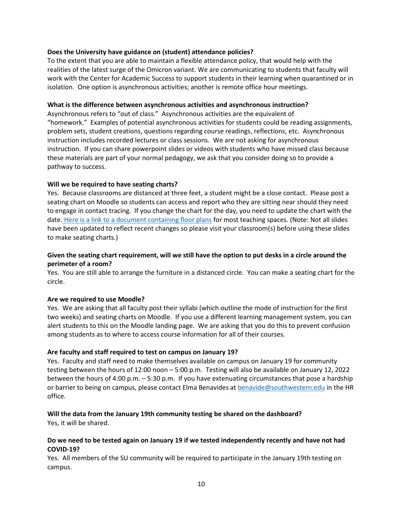### **Does the University have guidance on (student) attendance policies?**

To the extent that you are able to maintain a flexible attendance policy, that would help with the realities of the latest surge of the Omicron variant. We are communicating to students that faculty will work with the Center for Academic Success to support students in their learning when quarantined or in isolation. One option is asynchronous activities; another is remote office hour meetings.

#### **What is the difference between asynchronous activities and asynchronous instruction?**

Asynchronous refers to "out of class." Asynchronous activities are the equivalent of "homework." Examples of potential asynchronous activities for students could be reading assignments, problem sets, student creations, questions regarding course readings, reflections, etc. Asynchronous instruction includes recorded lectures or class sessions. We are not asking for asynchronous instruction. If you can share powerpoint slides or videos with students who have missed class because these materials are part of your normal pedagogy, we ask that you consider doing so to provide a pathway to success.

### **Will we be required to have seating charts?**

Yes. Because classrooms are distanced at three feet, a student might be a close contact. Please post a seating chart on Moodle so students can access and report who they are sitting near should they need to engage in contact tracing. If you change the chart for the day, you need to update the chart with the date. [Here is a link to a document containing floor plans](https://docs.google.com/presentation/d/118W8aKov8-7WG7lBwGgwsWcjsw2L0ldUHSgCeTHuXzk/edit?usp=sharing) for most teaching spaces. (Note: Not all slides have been updated to reflect recent changes so please visit your classroom(s) before using these slides to make seating charts.)

### **Given the seating chart requirement, will we still have the option to put desks in a circle around the perimeter of a room?**

Yes. You are still able to arrange the furniture in a distanced circle. You can make a seating chart for the circle.

### **Are we required to use Moodle?**

Yes. We are asking that all faculty post their syllabi (which outline the mode of instruction for the first two weeks) and seating charts on Moodle. If you use a different learning management system, you can alert students to this on the Moodle landing page. We are asking that you do this to prevent confusion among students as to where to access course information for all of their courses.

### **Are faculty and staff required to test on campus on January 19?**

Yes. Faculty and staff need to make themselves available on campus on January 19 for community testing between the hours of 12:00 noon – 5:00 p.m. Testing will also be available on January 12, 2022 between the hours of 4:00 p.m. – 5:30 p.m. If you have extenuating circumstances that pose a hardship or barrier to being on campus, please contact Elma Benavides at [benavide@southwestern.edu](mailto:benavide@southwestern.edu) in the HR office.

### **Will the data from the January 19th community testing be shared on the dashboard?**

Yes, it will be shared.

### **Do we need to be tested again on January 19 if we tested independently recently and have not had COVID-19?**

Yes. All members of the SU community will be required to participate in the January 19th testing on campus.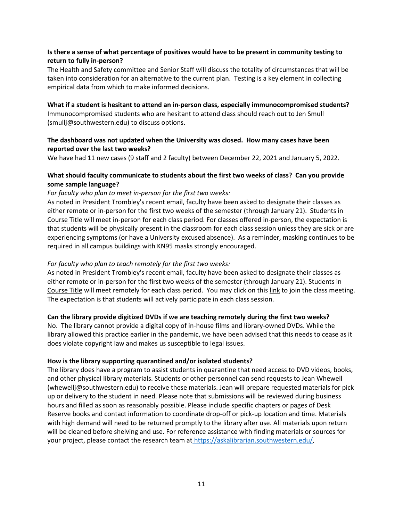# **Is there a sense of what percentage of positives would have to be present in community testing to return to fully in-person?**

The Health and Safety committee and Senior Staff will discuss the totality of circumstances that will be taken into consideration for an alternative to the current plan. Testing is a key element in collecting empirical data from which to make informed decisions.

**What if a student is hesitant to attend an in-person class, especially immunocompromised students?** Immunocompromised students who are hesitant to attend class should reach out to Jen Smull (smullj@southwestern.edu) to discuss options.

### **The dashboard was not updated when the University was closed. How many cases have been reported over the last two weeks?**

We have had 11 new cases (9 staff and 2 faculty) between December 22, 2021 and January 5, 2022.

# **What should faculty communicate to students about the first two weeks of class? Can you provide some sample language?**

# *For faculty who plan to meet in-person for the first two weeks:*

As noted in President Trombley's recent email, faculty have been asked to designate their classes as either remote or in-person for the first two weeks of the semester (through January 21). Students in Course Title will meet in-person for each class period. For classes offered in-person, the expectation is that students will be physically present in the classroom for each class session unless they are sick or are experiencing symptoms (or have a University excused absence). As a reminder, masking continues to be required in all campus buildings with KN95 masks strongly encouraged.

### *For faculty who plan to teach remotely for the first two weeks:*

As noted in President Trombley's recent email, faculty have been asked to designate their classes as either remote or in-person for the first two weeks of the semester (through January 21). Students in Course Title will meet remotely for each class period. You may click on this link to join the class meeting. The expectation is that students will actively participate in each class session.

### **Can the library provide digitized DVDs if we are teaching remotely during the first two weeks?**

No. The library cannot provide a digital copy of in-house films and library-owned DVDs. While the library allowed this practice earlier in the pandemic, we have been advised that this needs to cease as it does violate copyright law and makes us susceptible to legal issues.

### **How is the library supporting quarantined and/or isolated students?**

The library does have a program to assist students in quarantine that need access to DVD videos, books, and other physical library materials. Students or other personnel can send requests to Jean Whewell (whewellj@southwestern.edu) to receive these materials. Jean will prepare requested materials for pick up or delivery to the student in need. Please note that submissions will be reviewed during business hours and filled as soon as reasonably possible. Please include specific chapters or pages of Desk Reserve books and contact information to coordinate drop-off or pick-up location and time. Materials with high demand will need to be returned promptly to the library after use. All materials upon return will be cleaned before shelving and use. For reference assistance with finding materials or sources for your project, please contact the research team at [https://askalibrarian.southwestern.edu/.](https://askalibrarian.southwestern.edu/)